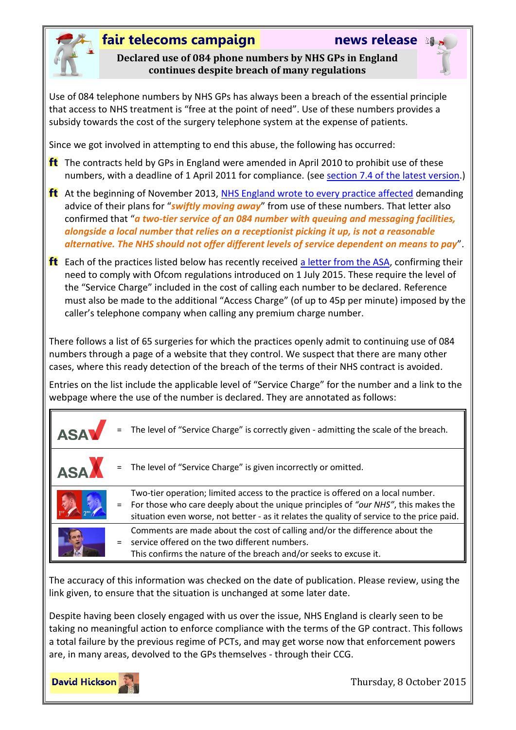

### **fair telecoms campaign news release**

**Declared use of 084 phone numbers by NHS GPs in England continues despite breach of many regulations**

Use of 084 telephone numbers by NHS GPs has always been a breach of the essential principle that access to NHS treatment is "free at the point of need". Use of these numbers provides a subsidy towards the cost of the surgery telephone system at the expense of patients.

Since we got involved in attempting to end this abuse, the following has occurred:

- **ft** The contracts held by GPs in England were amended in April 2010 to prohibit use of these numbers, with a deadline of 1 April 2011 for compliance. (see [section 7.4 of the latest version.](http://www.england.nhs.uk/commissioning/wp-content/uploads/sites/12/2015/06/gms-2015-16.pdfpage=31))
- **ft** At the beginning of November 2013, [NHS England wrote to every practice affected](http://www.england.nhs.uk/2013/11/04/gps-084-num/) demanding advice of their plans for "*swiftly moving away*" from use of these numbers. That letter also confirmed that "*a two-tier service of an 084 number with queuing and messaging facilities, alongside a local number that relies on a receptionist picking it up, is not a reasonable alternative. The NHS should not offer different levels of service dependent on means to pay*".
- **ft** Each of the practices listed below has recently received [a letter from the ASA,](http://www.fairtelecoms.org.uk/uploads/1/1/4/5/11456053/asa_letter_-_call_charges.pdf) confirming their need to comply with Ofcom regulations introduced on 1 July 2015. These require the level of the "Service Charge" included in the cost of calling each number to be declared. Reference must also be made to the additional "Access Charge" (of up to 45p per minute) imposed by the caller's telephone company when calling any premium charge number.

There follows a list of 65 surgeries for which the practices openly admit to continuing use of 084 numbers through a page of a website that they control. We suspect that there are many other cases, where this ready detection of the breach of the terms of their NHS contract is avoided.

Entries on the list include the applicable level of "Service Charge" for the number and a link to the webpage where the use of the number is declared. They are annotated as follows:

| <b>ASA</b> |     | The level of "Service Charge" is correctly given - admitting the scale of the breach.                                                                                                                                                                                |
|------------|-----|----------------------------------------------------------------------------------------------------------------------------------------------------------------------------------------------------------------------------------------------------------------------|
| <b>ASA</b> |     | The level of "Service Charge" is given incorrectly or omitted.                                                                                                                                                                                                       |
|            | $=$ | Two-tier operation; limited access to the practice is offered on a local number.<br>For those who care deeply about the unique principles of "our NHS", this makes the<br>situation even worse, not better - as it relates the quality of service to the price paid. |
|            |     | Comments are made about the cost of calling and/or the difference about the<br>service offered on the two different numbers.<br>This confirms the nature of the breach and/or seeks to excuse it.                                                                    |

The accuracy of this information was checked on the date of publication. Please review, using the link given, to ensure that the situation is unchanged at some later date.

Despite having been closely engaged with us over the issue, NHS England is clearly seen to be taking no meaningful action to enforce compliance with the terms of the GP contract. This follows a total failure by the previous regime of PCTs, and may get worse now that enforcement powers are, in many areas, devolved to the GPs themselves - through their CCG.

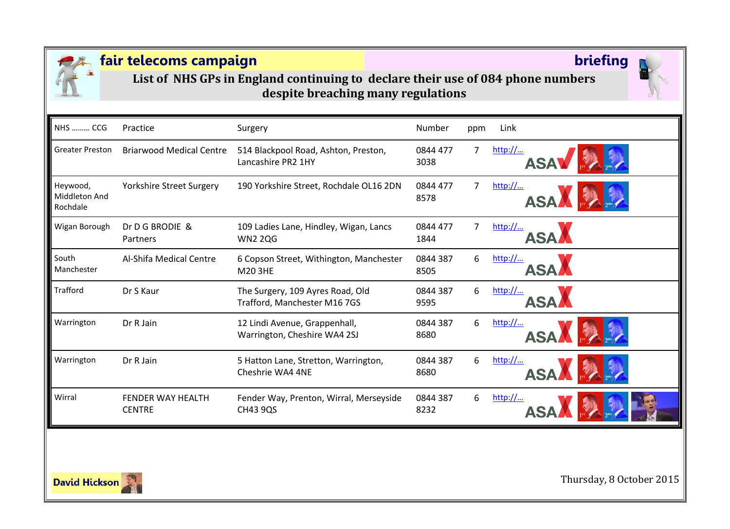

**List of NHS GPs in England continuing to declare their use of 084 phone numbers despite breaching many regulations**

| <b>NHS  CCG</b>                       | Practice                                  | Surgery                                                          | Number           | ppm | Link                                                  |
|---------------------------------------|-------------------------------------------|------------------------------------------------------------------|------------------|-----|-------------------------------------------------------|
| <b>Greater Preston</b>                | <b>Briarwood Medical Centre</b>           | 514 Blackpool Road, Ashton, Preston,<br>Lancashire PR2 1HY       | 0844 477<br>3038 | 7   | http://<br><b>ASA</b>                                 |
| Heywood,<br>Middleton And<br>Rochdale | <b>Yorkshire Street Surgery</b>           | 190 Yorkshire Street, Rochdale OL16 2DN                          | 0844 477<br>8578 | 7   | http://<br><b>ASA</b>                                 |
| Wigan Borough                         | Dr D G BRODIE &<br>Partners               | 109 Ladies Lane, Hindley, Wigan, Lancs<br><b>WN2 2QG</b>         | 0844 477<br>1844 | 7   | http://<br><b>ASA</b>                                 |
| South<br>Manchester                   | Al-Shifa Medical Centre                   | 6 Copson Street, Withington, Manchester<br>M20 3HE               | 0844 387<br>8505 | 6   | $\frac{\text{http://}}{\text{http://}}$<br><b>ASA</b> |
| Trafford                              | Dr S Kaur                                 | The Surgery, 109 Ayres Road, Old<br>Trafford, Manchester M16 7GS | 0844 387<br>9595 | 6   | http://<br><b>ASA</b>                                 |
| Warrington                            | Dr R Jain                                 | 12 Lindi Avenue, Grappenhall,<br>Warrington, Cheshire WA4 2SJ    | 0844 387<br>8680 | 6   | http://<br><b>ASA</b>                                 |
| Warrington                            | Dr R Jain                                 | 5 Hatton Lane, Stretton, Warrington,<br>Cheshrie WA4 4NE         | 0844 387<br>8680 | 6   | http://<br><b>ASA</b>                                 |
| Wirral                                | <b>FENDER WAY HEALTH</b><br><b>CENTRE</b> | Fender Way, Prenton, Wirral, Merseyside<br><b>CH43 9QS</b>       | 0844 387<br>8232 | 6   | http://                                               |
|                                       |                                           |                                                                  |                  |     |                                                       |

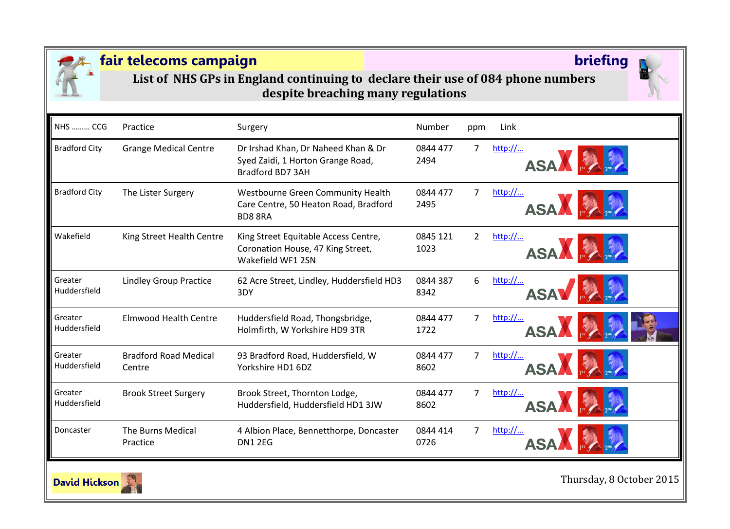

**List of NHS GPs in England continuing to declare their use of 084 phone numbers despite breaching many regulations**

| <b>NHS  CCG</b>         | Practice                               | Surgery                                                                                        | Number           | ppm            | Link                   |
|-------------------------|----------------------------------------|------------------------------------------------------------------------------------------------|------------------|----------------|------------------------|
| <b>Bradford City</b>    | <b>Grange Medical Centre</b>           | Dr Irshad Khan, Dr Naheed Khan & Dr<br>Syed Zaidi, 1 Horton Grange Road,<br>Bradford BD7 3AH   | 0844 477<br>2494 | 7              | http://<br>ASA FA      |
| <b>Bradford City</b>    | The Lister Surgery                     | Westbourne Green Community Health<br>Care Centre, 50 Heaton Road, Bradford<br><b>BD8 8RA</b>   | 0844 477<br>2495 | 7              | http://<br>ASA FA      |
| Wakefield               | King Street Health Centre              | King Street Equitable Access Centre,<br>Coronation House, 47 King Street,<br>Wakefield WF1 2SN | 0845 121<br>1023 | $\overline{2}$ | http://<br>ASA RA      |
| Greater<br>Huddersfield | <b>Lindley Group Practice</b>          | 62 Acre Street, Lindley, Huddersfield HD3<br>3DY                                               | 0844 387<br>8342 | 6              | http://<br><b>ASAV</b> |
| Greater<br>Huddersfield | <b>Elmwood Health Centre</b>           | Huddersfield Road, Thongsbridge,<br>Holmfirth, W Yorkshire HD9 3TR                             | 0844 477<br>1722 | 7              | http://<br><b>ASAA</b> |
| Greater<br>Huddersfield | <b>Bradford Road Medical</b><br>Centre | 93 Bradford Road, Huddersfield, W<br>Yorkshire HD1 6DZ                                         | 0844 477<br>8602 | 7              | http://<br><b>ASAA</b> |
| Greater<br>Huddersfield | <b>Brook Street Surgery</b>            | Brook Street, Thornton Lodge,<br>Huddersfield, Huddersfield HD1 3JW                            | 0844 477<br>8602 | 7              | http://<br><b>ASA</b>  |
| Doncaster               | The Burns Medical<br>Practice          | 4 Albion Place, Bennetthorpe, Doncaster<br><b>DN1 2EG</b>                                      | 0844 414<br>0726 | 7              | http://<br><b>ASA</b>  |

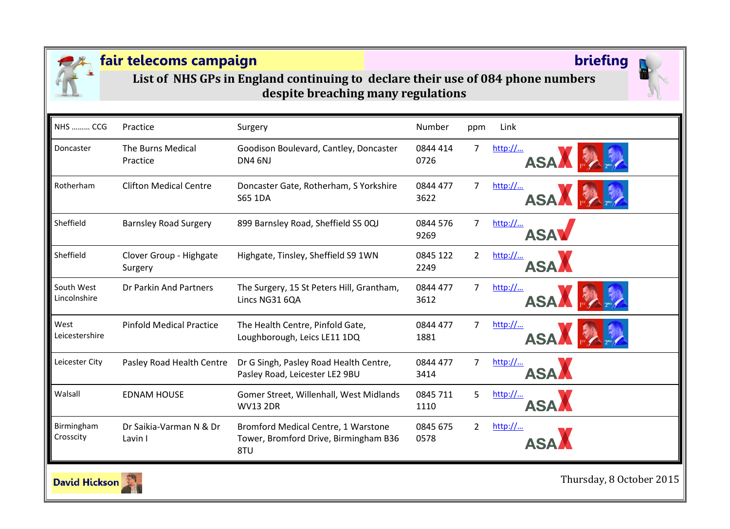

**List of NHS GPs in England continuing to declare their use of 084 phone numbers despite breaching many regulations**

| <b>NHS  CCG</b>            | Practice                           | Surgery                                                                             | Number           | ppm            | Link                  |
|----------------------------|------------------------------------|-------------------------------------------------------------------------------------|------------------|----------------|-----------------------|
| Doncaster                  | The Burns Medical<br>Practice      | Goodison Boulevard, Cantley, Doncaster<br><b>DN4 6NJ</b>                            | 0844 414<br>0726 | $\overline{7}$ | http://<br><b>ASA</b> |
| Rotherham                  | <b>Clifton Medical Centre</b>      | Doncaster Gate, Rotherham, S Yorkshire<br>S65 1DA                                   | 0844 477<br>3622 | 7              | http://<br><b>ASA</b> |
| Sheffield                  | <b>Barnsley Road Surgery</b>       | 899 Barnsley Road, Sheffield S5 0QJ                                                 | 0844 576<br>9269 | 7              | http://<br>ASA        |
| Sheffield                  | Clover Group - Highgate<br>Surgery | Highgate, Tinsley, Sheffield S9 1WN                                                 | 0845 122<br>2249 | $\overline{2}$ | http://<br><b>ASA</b> |
| South West<br>Lincolnshire | Dr Parkin And Partners             | The Surgery, 15 St Peters Hill, Grantham,<br>Lincs NG31 6QA                         | 0844 477<br>3612 | 7              | http://<br><b>ASA</b> |
| West<br>Leicestershire     | <b>Pinfold Medical Practice</b>    | The Health Centre, Pinfold Gate,<br>Loughborough, Leics LE11 1DQ                    | 0844 477<br>1881 | 7              | http://<br><b>ASA</b> |
| Leicester City             | Pasley Road Health Centre          | Dr G Singh, Pasley Road Health Centre,<br>Pasley Road, Leicester LE2 9BU            | 0844 477<br>3414 | 7              | http://<br><b>ASA</b> |
| Walsall                    | <b>EDNAM HOUSE</b>                 | Gomer Street, Willenhall, West Midlands<br><b>WV13 2DR</b>                          | 0845 711<br>1110 | 5              | http://<br>ASA,       |
| Birmingham<br>Crosscity    | Dr Saikia-Varman N & Dr<br>Lavin I | Bromford Medical Centre, 1 Warstone<br>Tower, Bromford Drive, Birmingham B36<br>8TU | 0845 675<br>0578 | $\overline{2}$ | http://               |

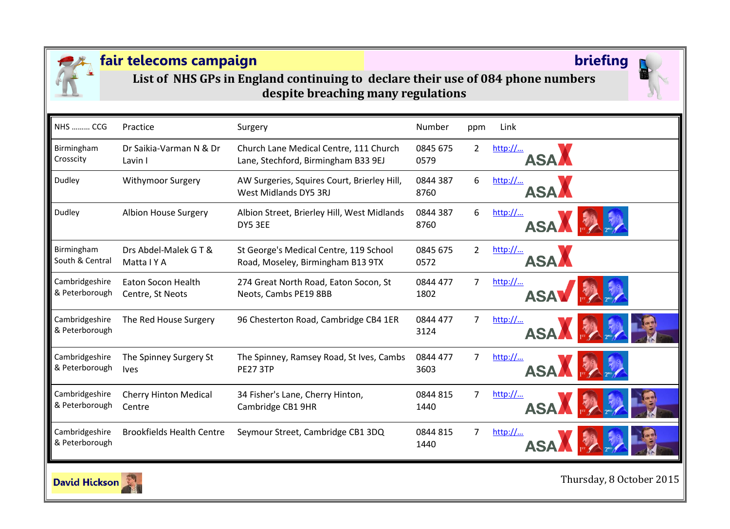

**List of NHS GPs in England continuing to declare their use of 084 phone numbers despite breaching many regulations**

| <b>NHS  CCG</b>                  | Practice                         | Surgery                                                              | <b>Number</b>    | ppm            | Link                  |
|----------------------------------|----------------------------------|----------------------------------------------------------------------|------------------|----------------|-----------------------|
| Birmingham                       | Dr Saikia-Varman N & Dr          | Church Lane Medical Centre, 111 Church                               | 0845 675         | $\overline{2}$ | http://               |
| Crosscity                        | Lavin I                          | Lane, Stechford, Birmingham B33 9EJ                                  | 0579             |                | <b>ASA</b>            |
| Dudley                           | Withymoor Surgery                | AW Surgeries, Squires Court, Brierley Hill,<br>West Midlands DY5 3RJ | 0844 387<br>8760 | 6              | http://<br><b>ASA</b> |
| Dudley                           | Albion House Surgery             | Albion Street, Brierley Hill, West Midlands<br>DY5 3EE               | 0844 387<br>8760 | 6              | http://<br><b>ASA</b> |
| Birmingham                       | Drs Abdel-Malek G T &            | St George's Medical Centre, 119 School                               | 0845 675         | $\overline{2}$ | http://               |
| South & Central                  | Matta I Y A                      | Road, Moseley, Birmingham B13 9TX                                    | 0572             |                | ASA                   |
| Cambridgeshire                   | <b>Eaton Socon Health</b>        | 274 Great North Road, Eaton Socon, St                                | 0844 477         | 7              | http://               |
| & Peterborough                   | Centre, St Neots                 | Neots, Cambs PE19 8BB                                                | 1802             |                | <b>ASA</b>            |
| Cambridgeshire<br>& Peterborough | The Red House Surgery            | 96 Chesterton Road, Cambridge CB4 1ER                                | 0844 477<br>3124 | 7              | http://<br><b>ASA</b> |
| Cambridgeshire                   | The Spinney Surgery St           | The Spinney, Ramsey Road, St Ives, Cambs                             | 0844 477         | 7              | http://               |
| & Peterborough                   | <b>Ives</b>                      | <b>PE27 3TP</b>                                                      | 3603             |                | <b>ASA</b>            |
| Cambridgeshire                   | <b>Cherry Hinton Medical</b>     | 34 Fisher's Lane, Cherry Hinton,                                     | 0844 815         | 7              | http://               |
| & Peterborough                   | Centre                           | Cambridge CB1 9HR                                                    | 1440             |                | <b>ASA</b>            |
| Cambridgeshire<br>& Peterborough | <b>Brookfields Health Centre</b> | Seymour Street, Cambridge CB1 3DQ                                    | 0844 815<br>1440 | 7              | http://               |

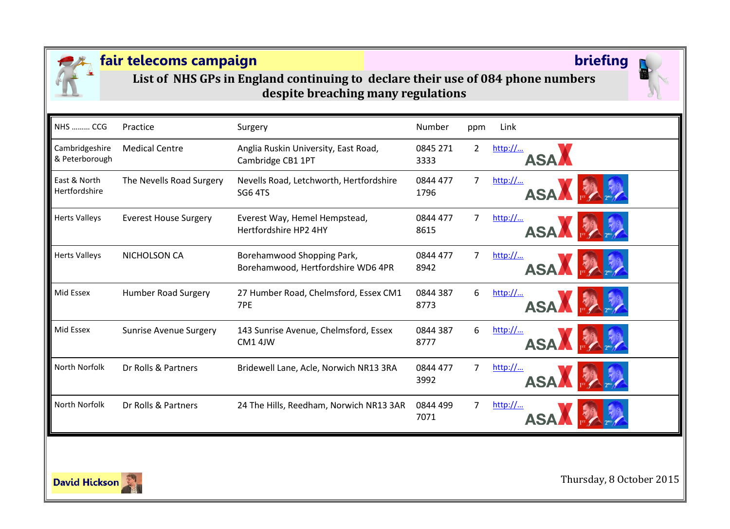

**List of NHS GPs in England continuing to declare their use of 084 phone numbers despite breaching many regulations**

| <b>NHS  CCG</b>                  | Practice                      | Surgery                                                          | Number           | ppm            | Link                                                   |
|----------------------------------|-------------------------------|------------------------------------------------------------------|------------------|----------------|--------------------------------------------------------|
| Cambridgeshire<br>& Peterborough | <b>Medical Centre</b>         | Anglia Ruskin University, East Road,<br>Cambridge CB1 1PT        | 0845 271<br>3333 | $\overline{2}$ | http://<br><b>ASA</b>                                  |
| East & North<br>Hertfordshire    | The Nevells Road Surgery      | Nevells Road, Letchworth, Hertfordshire<br><b>SG6 4TS</b>        | 0844 477<br>1796 | $\overline{7}$ | http://<br><b>ASA</b>                                  |
| <b>Herts Valleys</b>             | <b>Everest House Surgery</b>  | Everest Way, Hemel Hempstead,<br>Hertfordshire HP2 4HY           | 0844 477<br>8615 | 7              | http://<br>ASA H                                       |
| <b>Herts Valleys</b>             | NICHOLSON CA                  | Borehamwood Shopping Park,<br>Borehamwood, Hertfordshire WD6 4PR | 0844 477<br>8942 | 7              | http://<br>ASA F                                       |
| Mid Essex                        | <b>Humber Road Surgery</b>    | 27 Humber Road, Chelmsford, Essex CM1<br>7PE                     | 0844 387<br>8773 | 6              | $\frac{\text{http://}}{\text{http://}}$<br><b>ASAA</b> |
| Mid Essex                        | <b>Sunrise Avenue Surgery</b> | 143 Sunrise Avenue, Chelmsford, Essex<br>CM1 4JW                 | 0844 387<br>8777 | 6              | http://<br><b>ASAA</b>                                 |
| North Norfolk                    | Dr Rolls & Partners           | Bridewell Lane, Acle, Norwich NR13 3RA                           | 0844 477<br>3992 | 7              | http://<br><b>ASA</b>                                  |
| North Norfolk                    | Dr Rolls & Partners           | 24 The Hills, Reedham, Norwich NR13 3AR                          | 0844 499<br>7071 | 7              | http://                                                |

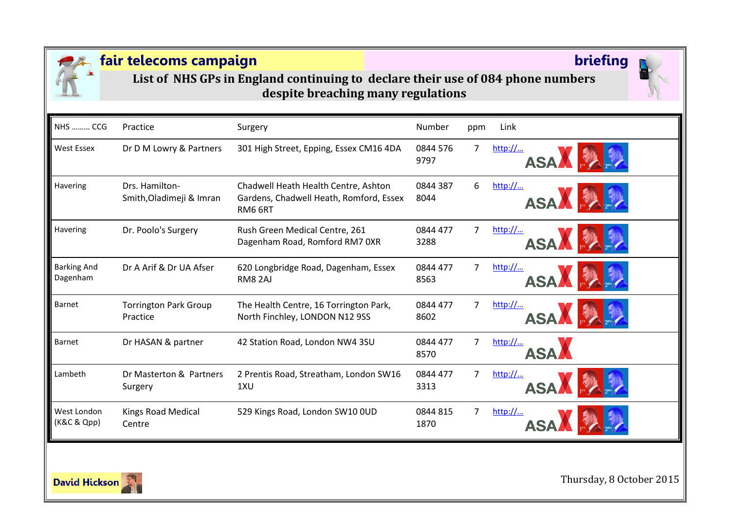

**List of NHS GPs in England continuing to declare their use of 084 phone numbers despite breaching many regulations**

| <b>NHS  CCG</b>                | Practice                                   | Surgery                                                                                    | Number           | ppm            | Link                   |
|--------------------------------|--------------------------------------------|--------------------------------------------------------------------------------------------|------------------|----------------|------------------------|
| West Essex                     | Dr D M Lowry & Partners                    | 301 High Street, Epping, Essex CM16 4DA                                                    | 0844 576<br>9797 | $\overline{7}$ | http://<br><b>ASAA</b> |
| Havering                       | Drs. Hamilton-<br>Smith, Oladimeji & Imran | Chadwell Heath Health Centre, Ashton<br>Gardens, Chadwell Heath, Romford, Essex<br>RM6 6RT | 0844 387<br>8044 | 6              | $http://$<br>ASA EA    |
| Havering                       | Dr. Poolo's Surgery                        | Rush Green Medical Centre, 261<br>Dagenham Road, Romford RM7 OXR                           | 0844 477<br>3288 | 7              | http://<br><b>ASA</b>  |
| <b>Barking And</b><br>Dagenham | Dr A Arif & Dr UA Afser                    | 620 Longbridge Road, Dagenham, Essex<br>RM8 2AJ                                            | 0844 477<br>8563 | 7              | http://<br><b>ASA</b>  |
| Barnet                         | <b>Torrington Park Group</b><br>Practice   | The Health Centre, 16 Torrington Park,<br>North Finchley, LONDON N12 9SS                   | 0844 477<br>8602 | 7              | http://<br><b>ASA</b>  |
| <b>Barnet</b>                  | Dr HASAN & partner                         | 42 Station Road, London NW4 3SU                                                            | 0844 477<br>8570 | 7              | http://<br><b>ASA</b>  |
| Lambeth                        | Dr Masterton & Partners<br>Surgery         | 2 Prentis Road, Streatham, London SW16<br>1XU                                              | 0844 477<br>3313 | 7              | http://<br><b>ASA</b>  |
| West London<br>(K&C & Qpp)     | Kings Road Medical<br>Centre               | 529 Kings Road, London SW10 OUD                                                            | 0844 815<br>1870 | 7              | http://                |

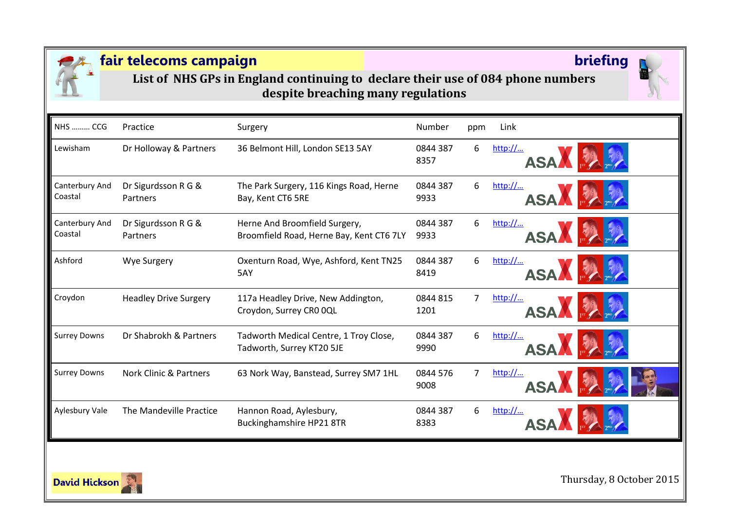

**List of NHS GPs in England continuing to declare their use of 084 phone numbers despite breaching many regulations**

| <b>NHS  CCG</b>           | Practice                          | Surgery                                                                   | Number           | ppm | Link                  |
|---------------------------|-----------------------------------|---------------------------------------------------------------------------|------------------|-----|-----------------------|
| Lewisham                  | Dr Holloway & Partners            | 36 Belmont Hill, London SE13 5AY                                          | 0844 387<br>8357 | 6   | http://<br>ASA FA     |
| Canterbury And<br>Coastal | Dr Sigurdsson R G &<br>Partners   | The Park Surgery, 116 Kings Road, Herne<br>Bay, Kent CT6 5RE              | 0844 387<br>9933 | 6   | http://<br>ASA A      |
| Canterbury And<br>Coastal | Dr Sigurdsson R G &<br>Partners   | Herne And Broomfield Surgery,<br>Broomfield Road, Herne Bay, Kent CT6 7LY | 0844 387<br>9933 | 6   | http://<br>ASA F      |
| Ashford                   | <b>Wye Surgery</b>                | Oxenturn Road, Wye, Ashford, Kent TN25<br>5AY                             | 0844 387<br>8419 | 6   | http://<br>ASA F      |
| Croydon                   | <b>Headley Drive Surgery</b>      | 117a Headley Drive, New Addington,<br>Croydon, Surrey CRO OQL             | 0844 815<br>1201 | 7   | http://<br>ASA F      |
| <b>Surrey Downs</b>       | Dr Shabrokh & Partners            | Tadworth Medical Centre, 1 Troy Close,<br>Tadworth, Surrey KT20 5JE       | 0844 387<br>9990 | 6   | http://<br>ASAN FA    |
| <b>Surrey Downs</b>       | <b>Nork Clinic &amp; Partners</b> | 63 Nork Way, Banstead, Surrey SM7 1HL                                     | 0844 576<br>9008 | 7   | http://<br><b>ASA</b> |
| Aylesbury Vale            | The Mandeville Practice           | Hannon Road, Aylesbury,<br>Buckinghamshire HP21 8TR                       | 0844 387<br>8383 | 6   | http://               |